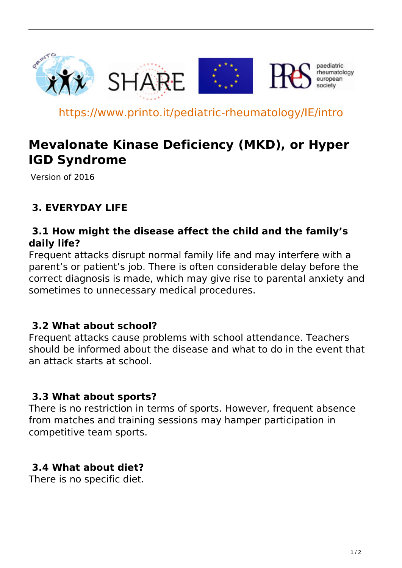

https://www.printo.it/pediatric-rheumatology/IE/intro

# **Mevalonate Kinase Deficiency (MKD), or Hyper IGD Syndrome**

Version of 2016

## **3. EVERYDAY LIFE**

#### **3.1 How might the disease affect the child and the family's daily life?**

Frequent attacks disrupt normal family life and may interfere with a parent's or patient's job. There is often considerable delay before the correct diagnosis is made, which may give rise to parental anxiety and sometimes to unnecessary medical procedures.

### **3.2 What about school?**

Frequent attacks cause problems with school attendance. Teachers should be informed about the disease and what to do in the event that an attack starts at school.

### **3.3 What about sports?**

There is no restriction in terms of sports. However, frequent absence from matches and training sessions may hamper participation in competitive team sports.

### **3.4 What about diet?**

There is no specific diet.